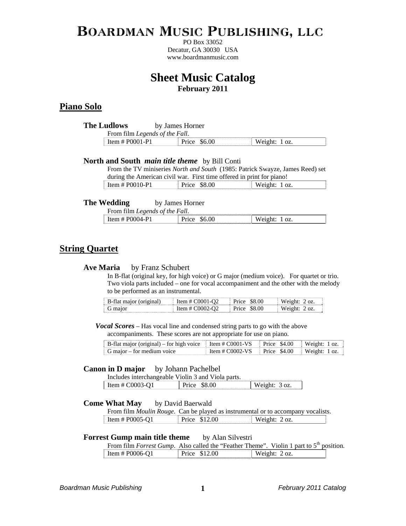# Boardman Music Publishing, llc

PO Box 33052 Decatur, GA 30030 USA www.boardmanmusic.com

# **Sheet Music Catalog February 2011**

#### **Piano Solo**

| <b>The Ludlows</b>             | by James Horner |                  |
|--------------------------------|-----------------|------------------|
| From film Legends of the Fall. |                 |                  |
| Item $#$ P0001-P1              | Price \$6.00    | Weight: $1 oz$ . |

#### **North and South** *main title theme* by Bill Conti

From the TV miniseries *North and South* (1985: Patrick Swayze, James Reed) set during the American civil war. First time offered in print for piano!

| Item # $P0010-P1$ | \$8.00       | /eight* |
|-------------------|--------------|---------|
|                   | <b>FIICE</b> | w       |
|                   |              |         |

#### **The Wedding** by James Horner

| From film Legends of the Fall. |              |               |
|--------------------------------|--------------|---------------|
| Item # $P0004-P1$              | Price \$6.00 | Weight: 1 oz. |

#### **String Quartet**

#### **Ave Maria** by Franz Schubert

In B-flat (original key, for high voice) or G major (medium voice). For quartet or trio. Two viola parts included – one for vocal accompaniment and the other with the melody to be performed as an instrumental.

| B-flat major (original) | Item # $C0001-02$ | - \$8.00<br>- Price - | Weight: 2.0z. |
|-------------------------|-------------------|-----------------------|---------------|
| G maior                 | Item # $C0002-02$ | \$8.00<br>. Price     | Weight: 2.0z. |

#### *Vocal Scores* – Has vocal line and condensed string parts to go with the above accompaniments. These scores are not appropriate for use on piano.

| B-flat major (original) – for high voice Item # C0001-VS Price \$4.00 Weight: 1 oz. |                                               |  |
|-------------------------------------------------------------------------------------|-----------------------------------------------|--|
| G major – for medium voice                                                          | Item # $CO002$ -VS Price \$4.00 Weight: 1 oz. |  |

#### **Canon in D major** by Johann Pachelbel

| Includes interchangeable Violin 3 and Viola parts. |                          |               |
|----------------------------------------------------|--------------------------|---------------|
| Item # $C0003-01$                                  | <b>SS 00</b><br>$Prrc$ e | Weight: 3 oz. |

#### **Come What May** by David Baerwald

|                   |               | From film <i>Moulin Rouge</i> . Can be played as instrumental or to accompany vocalists. |
|-------------------|---------------|------------------------------------------------------------------------------------------|
| Item # $P0005-O1$ | Price \$12.00 | Weight: 2 oz.                                                                            |

#### **Forrest Gump main title theme** by Alan Silvestri

| From film <i>Forrest Gump</i> . Also called the "Feather Theme". Violin 1 part to $5th$ position. |               |               |  |
|---------------------------------------------------------------------------------------------------|---------------|---------------|--|
| Item # P0006-Q1                                                                                   | Price \$12.00 | Weight: 2 oz. |  |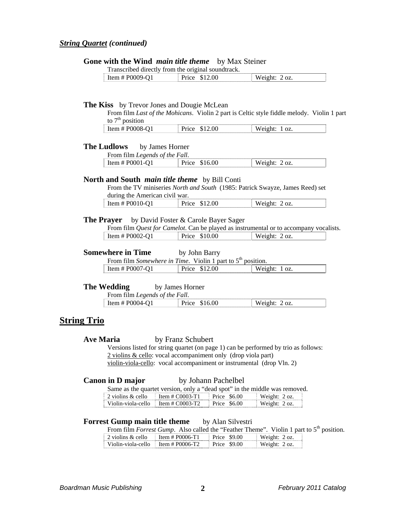#### *String Quartet (continued)*

#### **Gone with the Wind** *main title theme* by Max Steiner

|                 | Transcribed directly from the original soundtrack. |               |
|-----------------|----------------------------------------------------|---------------|
| Item # P0009-Q1 | Price \$12.00                                      | Weight: 2 oz. |

# **The Kiss** by Trevor Jones and Dougie McLean

From film *Last of the Mohicans*. Violin 2 part is Celtic style fiddle melody. Violin 1 part to  $7<sup>th</sup>$  position

| ገହା<br>. | the contract of the contract of the contract of | . . |
|----------|-------------------------------------------------|-----|
|          |                                                 |     |

#### **The Ludlows** by James Horner

From film *Legends of the Fall*.

| Item # $P0001-Q1$ | Price \$16.00 | Weight: $2 oz$ . |
|-------------------|---------------|------------------|
|-------------------|---------------|------------------|

#### **North and South** *main title theme* by Bill Conti

From the TV miniseries *North and South* (1985: Patrick Swayze, James Reed) set during the American civil war.

| Item # $P0010-Q1$ | \$12.00<br>Price | Weight:<br>OZ. |
|-------------------|------------------|----------------|
|                   |                  |                |

#### **The Prayer** by David Foster & Carole Bayer Sager

|                 |                      | From film <i>Quest for Camelot</i> . Can be played as instrumental or to accompany vocalists. |
|-----------------|----------------------|-----------------------------------------------------------------------------------------------|
| Item # P0002-Q1 | <b>Price \$10.00</b> | Weight: 2 oz.                                                                                 |

#### **Somewhere in Time** by John Barry

| From film Somewhere in Time. Violin 1 part to $5th$ position. |               |                  |
|---------------------------------------------------------------|---------------|------------------|
| Item # $P0007-Q1$                                             | Price \$12.00 | Weight: $1 oz$ . |

#### **The Wedding** by James Horner

| From film Legends of the Fall. |              |         |               |
|--------------------------------|--------------|---------|---------------|
| Item # $P0004-O1$              | $Prrc\alpha$ | \$16.00 | - Weioht / ∩z |

#### **String Trio**

#### **Ave Maria** by Franz Schubert

Versions listed for string quartet (on page 1) can be performed by trio as follows: 2 violins & cello: vocal accompaniment only (drop viola part) violin-viola-cello: vocal accompaniment or instrumental (drop Vln. 2)

#### **Canon in D major** by Johann Pachelbel

Same as the quartet version, only a "dead spot" in the middle was removed.

| 2 violins $\&$ cello | Item $\#$ C0003-T1 | Price \$6.00  | Weight: $2 oz$ . |
|----------------------|--------------------|---------------|------------------|
| Violin-viola-cello   | Item # $C0003-T2$  | Price $$6.00$ | Weight: $2 oz$ . |

#### **Forrest Gump main title theme** by Alan Silvestri

From film *Forrest Gump*. Also called the "Feather Theme". Violin 1 part to  $5^{th}$  position.  $\frac{1}{2}$  Item # P0006-T1 Price \$9.00

| $\pm$ 2 violins $\alpha$ ceno      | <u> 11. EIII # FUUUO- 1 1</u> | $F = F \cup C$ $F \cup T$ | weight: $\angle$ OZ. |
|------------------------------------|-------------------------------|---------------------------|----------------------|
| Violin-viola-cello Item # P0006-T2 |                               | $Prec $ \$9.00            | Weight: 2 oz.        |
|                                    |                               |                           |                      |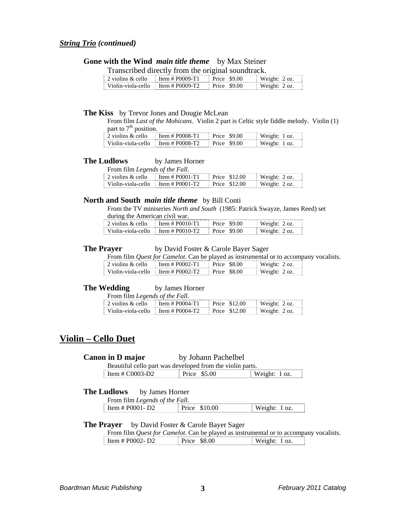#### *String Trio (continued)*

### **Gone with the Wind** *main title theme* by Max Steiner

Transcribed directly from the original soundtrack.

| $\frac{1}{2}$ violins & cello                    | Item # P0009-T1 | Price \$9.00 | Weight: $2 oz$ . |
|--------------------------------------------------|-----------------|--------------|------------------|
| $\frac{1}{2}$ Violin-viola-cello Item # P0009-T2 |                 | Price \$9.00 | Weight: 2 oz.    |

#### **The Kiss** by Trevor Jones and Dougie McLean

From film *Last of the Mohicans*. Violin 2 part is Celtic style fiddle melody. Violin (1) part to  $7<sup>th</sup>$  position.

| 2 violins & cello                              | Item # $P0008-T1$ | Price \$9.00 | Weight: 1 oz. |
|------------------------------------------------|-------------------|--------------|---------------|
| Violin-viola-cello $\parallel$ Item # P0008-T2 |                   | Price \$9.00 | Weight: 1 oz. |

#### **The Ludlows** by James Horner

From film *Legends of the Fall*.

| 2 violins $\&$ cello | $Item # PO001-T1$     | Price \$12.00 | Weight: $2 oz$ . |
|----------------------|-----------------------|---------------|------------------|
| Violin-viola-cello   | $\pm$ Item # P0001-T2 | Price \$12.00 | Weight: $2 oz$ . |

#### **North and South** *main title theme* by Bill Conti

From the TV miniseries *North and South* (1985: Patrick Swayze, James Reed) set during the American civil war.

| 2 violins & cello                              | Item $#$ P0010-T1 | Price \$9.00 | Weight: $2 oz$ . |
|------------------------------------------------|-------------------|--------------|------------------|
| Violin-viola-cello $\parallel$ Item # P0010-T2 |                   | Price \$9.00 | Weight: 2 oz.    |

#### **The Prayer** by David Foster & Carole Bayer Sager

From film *Quest for Camelot*. Can be played as instrumental or to accompany vocalists.

| 2 violins $&cello$                   | Item $# P0002 - T1$ | Price \$8.00 | Weight: $2 oz$ . |
|--------------------------------------|---------------------|--------------|------------------|
| Violin-viola-cello Item $# P0002-T2$ |                     | Price \$8.00 | Weight: $2 oz$ . |

#### **The Wedding** by James Horner

From film *Legends of the Fall*.

| 2 violins & cello                           | Item # $P0004-T1$ | Price \$12.00 | Weight: $2 oz$ . |
|---------------------------------------------|-------------------|---------------|------------------|
| Violin-viola-cello $\pm$ Item $\#$ P0004-T2 |                   | Price \$12.00 | Weight: $2 oz$ . |

### **Violin – Cello Duet**

#### **Canon in D major** by Johann Pachelbel

Beautiful cello part was developed from the violin parts.

Item # C0003-D2 Price \$5.00 Weight: 1 oz.

#### **The Ludlows** by James Horner

From film *Legends of the Fall*.

| I tem # P0001 - $D2$ | \$10.00 | $\blacksquare$ Weight: $\blacksquare$<br>OZ. |
|----------------------|---------|----------------------------------------------|
|                      |         |                                              |

#### **The Prayer** by David Foster & Carole Bayer Sager

From film *Quest for Camelot*. Can be played as instrumental or to accompany vocalists. Item # P0002- D2 Price \$8.00 Weight: 1 oz.